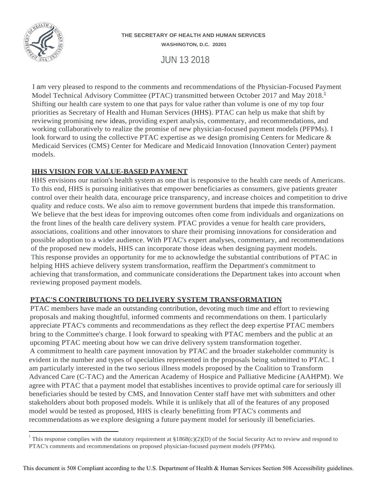

#### **THE SECRETARY OF HEALTH AND HUMAN SERVICES WASHINGTON, D.C. 20201**

JUN 13 2018

I am very pleased to respond to the comments and recommendations of the Physician-Focused Payment Model Technical Advisory Committee (PTAC) transmitted between October 2017 and May 2018.<sup>1</sup> Shifting our health care system to one that pays for value rather than volume is one of my top four priorities as Secretary of Health and Human Services (HHS). PTAC can help us make that shift by reviewing promising new ideas, providing expert analysis, commentary, and recommendations, and working collaboratively to realize the promise of new physician-focused payment models (PFPMs). I look forward to using the collective PTAC expertise as we design promising Centers for Medicare & Medicaid Services (CMS) Center for Medicare and Medicaid Innovation (Innovation Center) payment models.

# **HHS VISION FOR VALUE-BASED PAYMENT**

HHS envisions our nation's health system as one that is responsive to the health care needs of Americans. To this end, HHS is pursuing initiatives that empower beneficiaries as consumers, give patients greater control over their health data, encourage price transparency, and increase choices and competition to drive quality and reduce costs. We also aim to remove government burdens that impede this transformation. We believe that the best ideas for improving outcomes often come from individuals and organizations on the front lines of the health care delivery system. PTAC provides a venue for health care providers, associations, coalitions and other innovators to share their promising innovations for consideration and possible adoption to a wider audience. With PTAC's expert analyses, commentary, and recommendations of the proposed new models, HHS can incorporate those ideas when designing payment models. This response provides an opportunity for me to acknowledge the substantial contributions of PTAC in helping HHS achieve delivery system transformation, reaffirm the Department's commitment to achieving that transformation, and communicate considerations the Department takes into account when reviewing proposed payment models.

# **PTAC'S CONTRIBUTIONS TO DELIVERY SYSTEM TRANSFORMATION**

PTAC members have made an outstanding contribution, devoting much time and effort to reviewing proposals and making thoughtful, informed comments and recommendations on them. I particularly appreciate PTAC's comments and recommendations as they reflect the deep expertise PTAC members bring to the Committee's charge. I look forward to speaking with PTAC members and the public at an upcoming PTAC meeting about how we can drive delivery system transformation together. A commitment to health care payment innovation by PTAC and the broader stakeholder community is evident in the number and types of specialties represented in the proposals being submitted to PTAC. I am particularly interested in the two serious illness models proposed by the Coalition to Transform Advanced Care (C-TAC) and the American Academy of Hospice and Palliative Medicine (AAHPM). We agree with PTAC that a payment model that establishes incentives to provide optimal care for seriously ill beneficiaries should be tested by CMS, and Innovation Center staff have met with submitters and other stakeholders about both proposed models. While it is unlikely that all of the features of any proposed model would be tested as proposed, HHS is clearly benefitting from PTAC's comments and recommendations as we explore designing a future payment model forseriously ill beneficiaries.

<sup>&</sup>lt;sup>1</sup> This response complies with the statutory requirement at  $$1868(c)(2)(D)$  of the Social Security Act to review and respond to PTAC's comments and recommendations on proposed physician-focused payment models (PFPMs).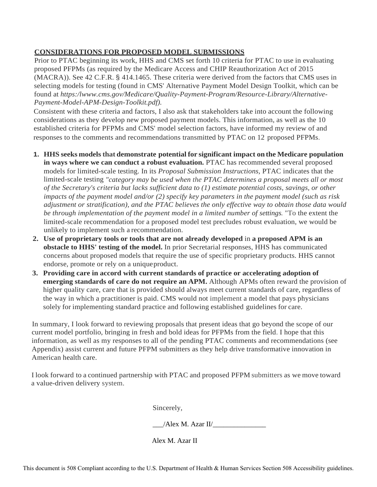# **CONSIDERATIONS FOR PROPOSED MODEL SUBMISSIONS**

Prior to PTAC beginning its work, HHS and CMS set forth 10 criteria for PTAC to use in evaluating proposed PFPMs (as required by the Medicare Access and CHIP Reauthorization Act of 2015 (MACRA)). See 42 C.F.R. § 414.1465. These criteria were derived from the factors that CMS uses in selecting models for testing (found in CMS' Alternative Payment Model Design Toolkit, which can be found at *[https:/lwww.cms.gov/Medicare/Quality-Payment-Program/Resource-Library/Alternative-](http://www.cms.gov/Medicare/Quality-Payment-Program/Resource-Library/Alternative)Payment-Model-APM-Design-Toolkit.pdf).*

Consistent with these criteria and factors, I also ask that stakeholders take into account the following considerations as they develop new proposed payment models. This information, as well as the 10 established criteria for PFPMs and CMS' model selection factors, have informed my review of and responses to the comments and recommendations transmitted by PTAC on 12 proposed PFPMs.

- **1. HHS seeks models that demonstrate potential for significant impact on the Medicare population in ways where we can conduct a robust evaluation.** PTAC has recommended several proposed models for limited-scale testing. In its *Proposal Submission Instructions,* PTAC indicates that the limited-scale testing *"category may be used when the PTAC determines a proposal meets all or most of the Secretary's criteria but lacks sufficient data to (1) estimate potential costs, savings, or other impacts of the payment model and/or (2) specify key parameters in the payment model (such as risk adjustment or stratification), and the PTAC believes the only effective way to obtain those data would be through implementation of the payment model in a limited number of settings.* "To the extent the limited-scale recommendation for a proposed model test precludes robust evaluation, we would be unlikely to implement such a recommendation.
- **2. Use of proprietary tools or tools that are not already developed** in **a proposed APM is an obstacle to HHS' testing of the model.** In prior Secretarial responses, HHS has communicated concerns about proposed models that require the use of specific proprietary products. HHS cannot endorse, promote or rely on a uniqueproduct.
- **3. Providing care in accord with current standards of practice or accelerating adoption of emerging standards of care do not require an APM.** Although APMs often reward the provision of higher quality care, care that is provided should always meet current standards of care, regardless of the way in which a practitioner is paid. CMS would not implement a model that pays physicians solely for implementing standard practice and following established guidelines for care.

In summary, I look forward to reviewing proposals that present ideas that go beyond the scope of our current model portfolio, bringing in fresh and bold ideas for PFPMs from the field. I hope that this information, as well as my responses to all of the pending PTAC comments and recommendations (see Appendix) assist current and future PFPM submitters as they help drive transformative innovation in American health care.

I look forward to a continued partnership with PTAC and proposed PFPM submitters as we move toward a value-driven delivery system.

Sincerely,

| /Alex M. Azar II/ |  |
|-------------------|--|
|                   |  |

Alex M. Azar II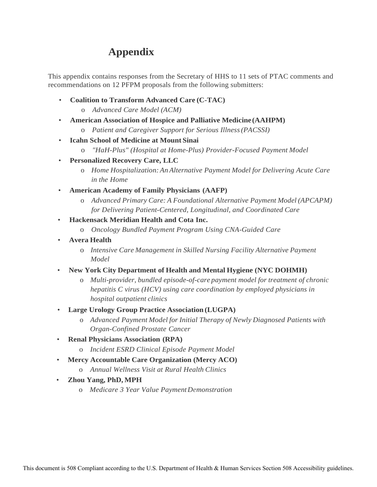# **Appendix**

This appendix contains responses from the Secretary of HHS to 11 sets of PTAC comments and recommendations on 12 PFPM proposals from the following submitters:

- **Coalition to Transform Advanced Care (C-TAC)**
	- o *Advanced Care Model (ACM)*
- **American Association of Hospice and Palliative Medicine (AAHPM)**
	- o *Patient and Caregiver Support for Serious Illness(PACSSI)*
- **Icahn School of Medicine at Mount Sinai**
	- o *"HaH-Plus" (Hospital at Home-Plus) Provider-Focused Payment Model*
- **Personalized Recovery Care, LLC**
	- o *Home Hospitalization: An Alternative Payment Model for Delivering Acute Care in the Home*
- **American Academy of Family Physicians (AAFP)**
	- o *Advanced Primary Care: A Foundational Alternative Payment Model (APCAPM) for Delivering Patient-Centered, Longitudinal, and Coordinated Care*
- **Hackensack Meridian Health and Cota Inc.**
	- o *Oncology Bundled Payment Program Using CNA-Guided Care*
- **Avera Health**
	- o *Intensive Care Management in Skilled Nursing Facility Alternative Payment Model*
- **New York City Department of Health and Mental Hygiene (NYC DOHMH)**
	- o *Multi-provider, bundled episode-of-care payment model for treatment of chronic hepatitis C virus (HCV) using care coordination by employed physicians in hospital outpatient clinics*
- **Large Urology Group Practice Association (LUGPA)**
	- o *Advanced Payment Model for Initial Therapy of Newly Diagnosed Patients with Organ-Confined Prostate Cancer*
- **Renal Physicians Association (RPA)**
	- o *Incident ESRD Clinical Episode Payment Model*
- **Mercy Accountable Care Organization (Mercy ACO)**
	- o *Annual Wellness Visit at Rural Health Clinics*
- **Zhou Yang, PhD, MPH**
	- o *Medicare 3 Year Value Payment Demonstration*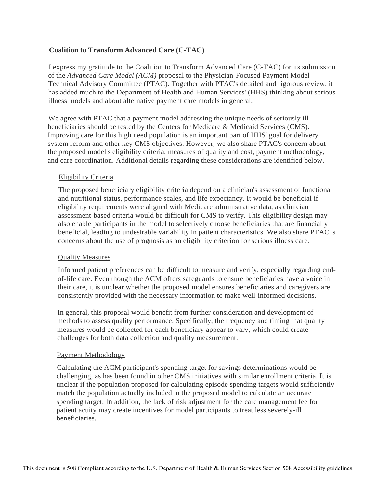# **Coalition to Transform Advanced Care (C-TAC)**

I express my gratitude to the Coalition to Transform Advanced Care (C-TAC) for its submission of the *Advanced Care Model (ACM)* proposal to the Physician-Focused Payment Model Technical Advisory Committee (PTAC). Together with PTAC's detailed and rigorous review, it has added much to the Department of Health and Human Services' (HHS) thinking about serious illness models and about alternative payment care models in general.

We agree with PTAC that a payment model addressing the unique needs of seriously ill beneficiaries should be tested by the Centers for Medicare & Medicaid Services (CMS). Improving care for this high need population is an important part of HHS' goal for delivery system reform and other key CMS objectives. However, we also share PTAC's concern about the proposed model's eligibility criteria, measures of quality and cost, payment methodology, and care coordination. Additional details regarding these considerations are identified below.

# Eligibility Criteria

The proposed beneficiary eligibility criteria depend on a clinician's assessment of functional and nutritional status, performance scales, and life expectancy. It would be beneficial if eligibility requirements were aligned with Medicare administrative data, as clinician assessment-based criteria would be difficult for CMS to verify. This eligibility design may also enable participants in the model to selectively choose beneficiaries that are financially beneficial, leading to undesirable variability in patient characteristics. We also share PTAC' s concerns about the use of prognosis as an eligibility criterion for serious illness care.

## Quality Measures

Informed patient preferences can be difficult to measure and verify, especially regarding endof-life care. Even though the ACM offers safeguards to ensure beneficiaries have a voice in their care, it is unclear whether the proposed model ensures beneficiaries and caregivers are consistently provided with the necessary information to make well-informed decisions.

In general, this proposal would benefit from further consideration and development of methods to assess quality performance. Specifically, the frequency and timing that quality measures would be collected for each beneficiary appear to vary, which could create challenges for both data collection and quality measurement.

## Payment Methodology

Calculating the ACM participant's spending target for savings determinations would be challenging, as has been found in other CMS initiatives with similar enrollment criteria. It is unclear if the population proposed for calculating episode spending targets would sufficiently match the population actually included in the proposed model to calculate an accurate spending target. In addition, the lack of risk adjustment for the care management fee for . patient acuity may create incentives for model participants to treat less severely-ill beneficiaries.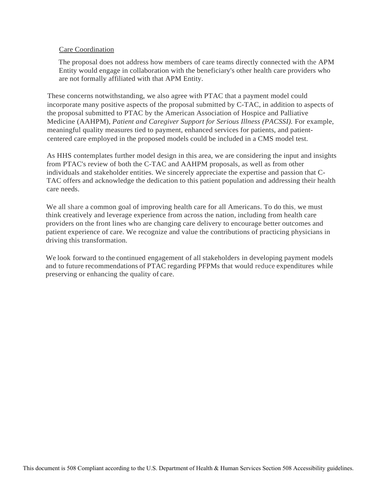## Care Coordination

The proposal does not address how members of care teams directly connected with the APM Entity would engage in collaboration with the beneficiary's other health care providers who are not formally affiliated with that APM Entity.

These concerns notwithstanding, we also agree with PTAC that a payment model could incorporate many positive aspects of the proposal submitted by C-TAC, in addition to aspects of the proposal submitted to PTAC by the American Association of Hospice and Palliative Medicine (AAHPM), *Patient and Caregiver Support for Serious Illness (PACSSI).* For example, meaningful quality measures tied to payment, enhanced services for patients, and patientcentered care employed in the proposed models could be included in a CMS model test.

As HHS contemplates further model design in this area, we are considering the input and insights from PTAC's review of both the C-TAC and AAHPM proposals, as well as from other individuals and stakeholder entities. We sincerely appreciate the expertise and passion that C-TAC offers and acknowledge the dedication to this patient population and addressing their health care needs.

We all share a common goal of improving health care for all Americans. To do this, we must think creatively and leverage experience from across the nation, including from health care providers on the front lines who are changing care delivery to encourage better outcomes and patient experience of care. We recognize and value the contributions of practicing physicians in driving this transformation.

We look forward to the continued engagement of all stakeholders in developing payment models and to future recommendations of PTAC regarding PFPMs that would reduce expenditures while preserving or enhancing the quality of care.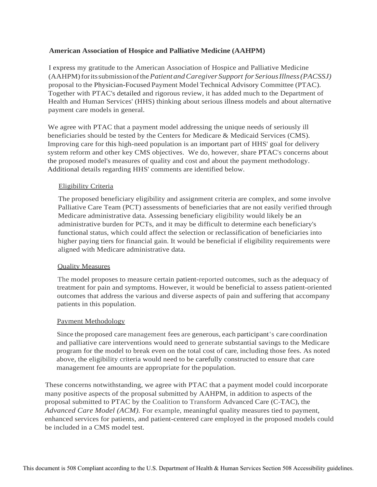# **American Association of Hospice and Palliative Medicine (AAHPM)**

I express my gratitude to the American Association of Hospice and Palliative Medicine (AAHPM)foritssubmissionofthe*Patient andCaregiver Support for SeriousIllness(PACSSJ)*  proposal to the Physician-Focused Payment Model Technical Advisory Committee (PTAC). Together with PTAC's detailed and rigorous review, it has added much to the Department of Health and Human Services' (HHS) thinking about serious illness models and about alternative payment care models in general.

We agree with PTAC that a payment model addressing the unique needs of seriously ill beneficiaries should be tested by the Centers for Medicare & Medicaid Services (CMS). Improving care for this high-need population is an important part of HHS' goal for delivery system reform and other key CMS objectives. We do, however, share PTAC's concerns about the proposed model's measures of quality and cost and about the payment methodology. Additional details regarding HHS' comments are identified below.

## Eligibility Criteria

The proposed beneficiary eligibility and assignment criteria are complex, and some involve Palliative Care Team (PCT) assessments of beneficiaries that are not easily verified through Medicare administrative data. Assessing beneficiary eligibility would likely be an administrative burden for PCTs, and it may be difficult to determine each beneficiary's functional status, which could affect the selection or reclassification of beneficiaries into higher paying tiers for financial gain. It would be beneficial if eligibility requirements were aligned with Medicare administrative data.

## Quality Measures

The model proposes to measure certain patient-reported outcomes, such as the adequacy of treatment for pain and symptoms. However, it would be beneficial to assess patient-oriented outcomes that address the various and diverse aspects of pain and suffering that accompany patients in this population.

## Payment Methodology

Since the proposed care management fees are generous, each participant' s care coordination and palliative care interventions would need to generate substantial savings to the Medicare program for the model to break even on the total cost of care, including those fees. As noted above, the eligibility criteria would need to be carefully constructed to ensure that care management fee amounts are appropriate for the population.

These concerns notwithstanding, we agree with PTAC that a payment model could incorporate many positive aspects of the proposal submitted by AAHPM, in addition to aspects of the proposal submitted to PTAC by the Coalition to Transform Advanced Care (C-TAC), the *Advanced Care Model (ACM).* For example, meaningful quality measures tied to payment, enhanced services for patients, and patient-centered care employed in the proposed models could be included in a CMS model test.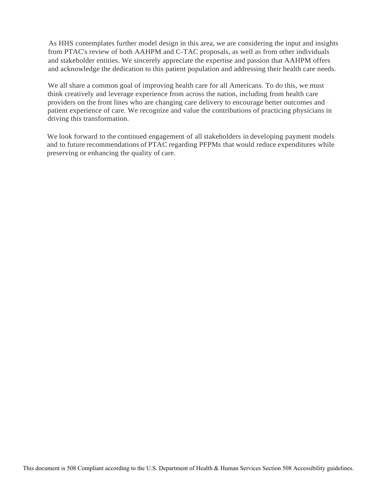As HHS contemplates further model design in this area, we are considering the input and insights from PTAC's review of both AAHPM and C-TAC proposals, as well as from other individuals and stakeholder entities. We sincerely appreciate the expertise and passion that AAHPM offers and acknowledge the dedication to this patient population and addressing their health care needs.

We all share a common goal of improving health care for all Americans. To do this, we must think creatively and leverage experience from across the nation, including from health care providers on the front lines who are changing care delivery to encourage better outcomes and · patient experience of care. We recognize and value the contributions of practicing physicians in driving this transformation.

We look forward to the continued engagement of all stakeholders in developing payment models and to future recommendations of PTAC regarding PFPMs that would reduce expenditures while preserving or enhancing the quality of care.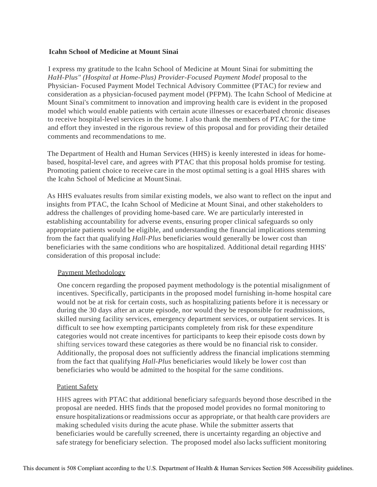## **Icahn School of Medicine at Mount Sinai**

I express my gratitude to the Icahn School of Medicine at Mount Sinai for submitting the HaH-Plus" (Hospital at Home-Plus) Provider-Focused Payment Model proposal to the Physician- Focused Payment Model Technical Advisory Committee (PTAC) for review and consideration as a physician-focused payment model (PFPM). The Icahn School of Medicine at Mount Sinai's commitment to innovation and improving health care is evident in the proposed model which would enable patients with certain acute illnesses or exacerbated chronic diseases to receive hospital-level services in the home. I also thank the members of PTAC for the time and effort they invested in the rigorous review of this proposal and for providing their detailed comments and recommendations to me.

The Department of Health and Human Services (HHS) is keenly interested in ideas for homebased, hospital-level care, and agrees with PTAC that this proposal holds promise for testing. Promoting patient choice to receive care in the most optimal setting is a goal HHS shares with the Icahn School of Medicine at MountSinai.

As HHS evaluates results from similar existing models, we also want to reflect on the input and insights from PTAC, the Icahn School of Medicine at Mount Sinai, and other stakeholders to address the challenges of providing home-based care. We are particularly interested in establishing accountability for adverse events, ensuring proper clinical safeguards so only appropriate patients would be eligible, and understanding the financial implications stemming from the fact that qualifying *Hall-Plus* beneficiaries would generally be lower cost than beneficiaries with the same conditions who are hospitalized. Additional detail regarding HHS' consideration of this proposal include:

# Payment Methodology

One concern regarding the proposed payment methodology is the potential misalignment of incentives. Specifically, participants in the proposed model furnishing in-home hospital care would not be at risk for certain costs, such as hospitalizing patients before it is necessary or during the 30 days after an acute episode, nor would they be responsible for readmissions, skilled nursing facility services, emergency department services, or outpatient services. It is difficult to see how exempting participants completely from risk for these expenditure categories would not create incentives for participants to keep their episode costs down by shifting services toward these categories as there would be no financial risk to consider. Additionally, the proposal does not sufficiently address the financial implications stemming from the fact that qualifying *Hall-Plus* beneficiaries would likely be lower cost than beneficiaries who would be admitted to the hospital for the same conditions.

# Patient Safety

HHS agrees with PTAC that additional beneficiary safeguards beyond those described in the proposal are needed. HHS finds that the proposed model provides no formal monitoring to ensure hospitalizations or readmissions occur as appropriate, or that health care providers are making scheduled visits during the acute phase. While the submitter asserts that beneficiaries would be carefully screened, there is uncertainty regarding an objective and safe strategy for beneficiary selection. The proposed model also lacks sufficient monitoring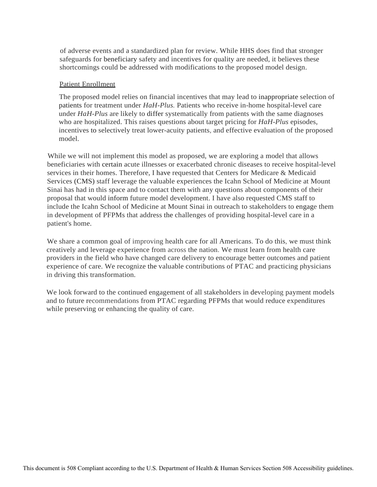of adverse events and a standardized plan for review. While HHS does find that stronger safeguards for beneficiary safety and incentives for quality are needed, it believes these shortcomings could be addressed with modifications to the proposed model design.

## Patient Enrollment

The proposed model relies on financial incentives that may lead to inappropriate selection of patients for treatment under *HaH-Plus.* Patients who receive in-home hospital-level care under *HaH-Plus* are likely to differ systematically from patients with the same diagnoses who are hospitalized. This raises questions about target pricing for *HaH-Plus* episodes, incentives to selectively treat lower-acuity patients, and effective evaluation of the proposed model.

While we will not implement this model as proposed, we are exploring a model that allows beneficiaries with certain acute illnesses or exacerbated chronic diseases to receive hospital-level services in their homes. Therefore, I have requested that Centers for Medicare & Medicaid Services (CMS) staff leverage the valuable experiences the Icahn School of Medicine at Mount Sinai has had in this space and to contact them with any questions about components of their proposal that would inform future model development. I have also requested CMS staff to include the Icahn School of Medicine at Mount Sinai in outreach to stakeholders to engage them in development of PFPMs that address the challenges of providing hospital-level care in a patient's home.

We share a common goal of improving health care for all Americans. To do this, we must think creatively and leverage experience from across the nation. We must learn from health care providers in the field who have changed care delivery to encourage better outcomes and patient experience of care. We recognize the valuable contributions of PTAC and practicing physicians in driving this transformation.

We look forward to the continued engagement of all stakeholders in developing payment models and to future recommendations from PTAC regarding PFPMs that would reduce expenditures while preserving or enhancing the quality of care.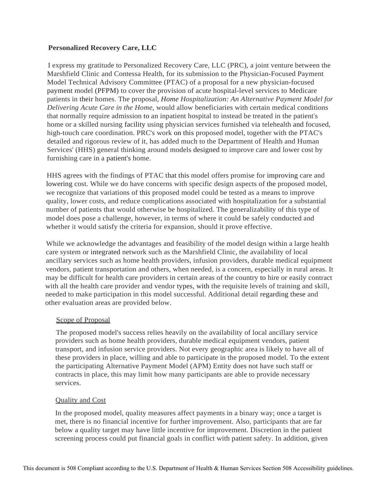# **Personalized Recovery Care, LLC**

I express my gratitude to Personalized Recovery Care, LLC (PRC), a joint venture between the Marshfield Clinic and Contessa Health, for its submission to the Physician-Focused Payment Model Technical Advisory Committee (PTAC) of a proposal for a new physician-focused payment model (PFPM) to cover the provision of acute hospital-level services to Medicare patients in their homes. The proposal, *Home Hospitalization: An Alternative Payment Model for Delivering Acute Care in the Home,* would allow beneficiaries with certain medical conditions that normally require admission to an inpatient hospital to instead be treated in the patient's home or a skilled nursing facility using physician services furnished via telehealth and focused, high-touch care coordination. PRC's work on this proposed model, together with the PTAC's detailed and rigorous review of it, has added much to the Department of Health and Human Services' (HHS) general thinking around models designed to improve care and lower cost by furnishing care in a patient's home.

HHS agrees with the findings of PTAC that this model offers promise for improving care and lowering cost. While we do have concerns with specific design aspects of the proposed model, we recognize that variations of this proposed model could be tested as a means to improve quality, lower costs, and reduce complications associated with hospitalization for a substantial number of patients that would otherwise be hospitalized. The generalizability of this type of model does pose a challenge, however, in terms of where it could be safely conducted and whether it would satisfy the criteria for expansion, should it prove effective.

While we acknowledge the advantages and feasibility of the model design within a large health care system or integrated network such as the Marshfield Clinic, the availability of local ancillary services such as home health providers, infusion providers, durable medical equipment vendors, patient transportation and others, when needed, is a concern, especially in rural areas. It may be difficult for health care providers in certain areas of the country to hire or easily contract with all the health care provider and vendor types, with the requisite levels of training and skill, needed to make participation in this model successful. Additional detail regarding these and other evaluation areas are provided below.

# Scope of Proposal

The proposed model's success relies heavily on the availability of local ancillary service providers such as home health providers, durable medical equipment vendors, patient transport, and infusion service providers. Not every geographic area is likely to have all of these providers in place, willing and able to participate in the proposed model. To the extent the participating Alternative Payment Model (APM) Entity does not have such staff or contracts in place, this may limit how many participants are able to provide necessary services.

# Quality and Cost

In the proposed model, quality measures affect payments in a binary way; once a target is met, there is no financial incentive for further improvement. Also, participants that are far below a quality target may have little incentive for improvement. Discretion in the patient screening process could put financial goals in conflict with patient safety. In addition, given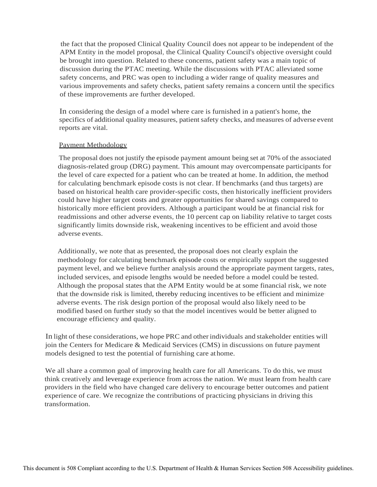the fact that the proposed Clinical Quality Council does not appear to be independent of the APM Entity in the model proposal, the Clinical Quality Council's objective oversight could be brought into question. Related to these concerns, patient safety was a main topic of discussion during the PTAC meeting. While the discussions with PTAC alleviated some safety concerns, and PRC was open to including a wider range of quality measures and various improvements and safety checks, patient safety remains a concern until the specifics of these improvements are further developed.

In considering the design of a model where care is furnished in a patient's home, the specifics of additional quality measures, patient safety checks, and measures of adverse event reports are vital.

#### Payment Methodology

The proposal does not justify the episode payment amount being set at 70% of the associated diagnosis-related group (DRG) payment. This amount may overcompensate participants for the level of care expected for a patient who can be treated at home. In addition, the method for calculating benchmark episode costs is not clear. If benchmarks (and thus targets) are based on historical health care provider-specific costs, then historically inefficient providers could have higher target costs and greater opportunities for shared savings compared to historically more efficient providers. Although a participant would be at financial risk for readmissions and other adverse events, the 10 percent cap on liability relative to target costs significantly limits downside risk, weakening incentives to be efficient and avoid those adverse events.

Additionally, we note that as presented, the proposal does not clearly explain the methodology for calculating benchmark episode costs or empirically support the suggested payment level, and we believe further analysis around the appropriate payment targets, rates, included services, and episode lengths would be needed before a model could be tested. Although the proposal states that the APM Entity would be at some financial risk, we note that the downside risk is limited, thereby reducing incentives to be efficient and minimize· adverse events. The risk design portion of the proposal would also likely need to be modified based on further study so that the model incentives would be better aligned to encourage efficiency and quality.

In light of these considerations, we hope PRC and other individuals and stakeholder entities will join the Centers for Medicare & Medicaid Services (CMS) in discussions on future payment models designed to test the potential of furnishing care athome.

We all share a common goal of improving health care for all Americans. To do this, we must think creatively and leverage experience from across the nation. We must learn from health care providers in the field who have changed care delivery to encourage better outcomes and patient experience of care. We recognize the contributions of practicing physicians in driving this transformation.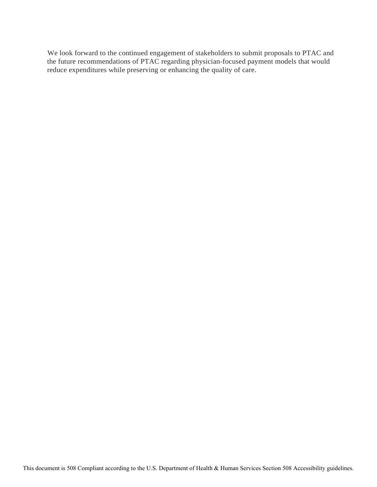We look forward to the continued engagement of stakeholders to submit proposals to PTAC and the future recommendations of PTAC regarding physician-focused payment models that would reduce expenditures while preserving or enhancing the quality of care.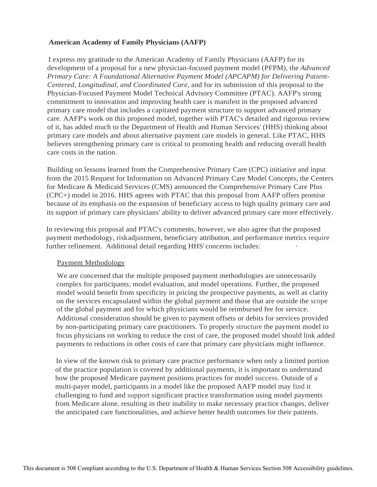# **American Academy of Family Physicians (AAFP)**

I express my gratitude to the American Academy of Family Physicians (AAFP) for its development of a proposal for a new physician-focused payment model (PFPM), the *Advanced Primary Care: A Foundational Alternative Payment Model (APCAPM) for Delivering Patient-Centered, Longitudinal, and Coordinated Care,* and for its submission of this proposal to the Physician-Focused Payment Model Technical Advisory Committee (PTAC). AAFP's strong commitment to innovation and improving health care is manifest in the proposed advanced primary care model that includes a capitated payment structure to support advanced primary care. AAFP's work on this proposed model, together with PTAC's detailed and rigorous review of it, has added much to the Department of Health and Human Services' (HHS) thinking about primary care models and about alternative payment care models in general. Like PTAC, HHS believes strengthening primary care is critical to promoting health and reducing overall health care costs in the nation.

Building on lessons learned from the Comprehensive Primary Care (CPC) initiative and input from the 2015 Request for Information on Advanced Primary Care Model Concepts, the Centers for Medicare & Medicaid Services (CMS) announced the Comprehensive Primary Care Plus (CPC+) model in 2016. HHS agrees with PTAC that this proposal from AAFP offers promise because of its emphasis on the expansion of beneficiary access to high quality primary care and its support of primary care physicians' ability to deliver advanced primary care more effectively.

In reviewing this proposal and PTAC's comments, however, we also agree that the proposed payment methodology, riskadjustment, beneficiary attribution, and performance metrics require further refinement. Additional detail regarding HHS' concerns includes:

## Payment Methodology

We are concerned that the multiple proposed payment methodologies are unnecessarily complex for participants, model evaluation, and model operations. Further, the proposed model would benefit from specificity in pricing the prospective payments, as well as clarity on the services encapsulated within the global payment and those that are outside the scope of the global payment and for which physicians would be reimbursed fee for service. Additional consideration should be given to payment offsets or debits for services provided by non-participating primary care practitioners. To properly structure the payment model to focus physicians on working to reduce the cost of care, the proposed model should link added payments to reductions in other costs of care that primary care physicians might influence.

In view of the known risk to primary care practice performance when only a limited portion of the practice population is covered by additional payments, it is important to understand how the proposed Medicare payment positions practices for model success. Outside of a multi-payer model, participants in a model like the proposed AAFP model may find it challenging to fund and support significant practice transformation using model payments from Medicare alone, resulting in their inability to make necessary practice changes, deliver the anticipated care functionalities, and achieve better health outcomes for their patients.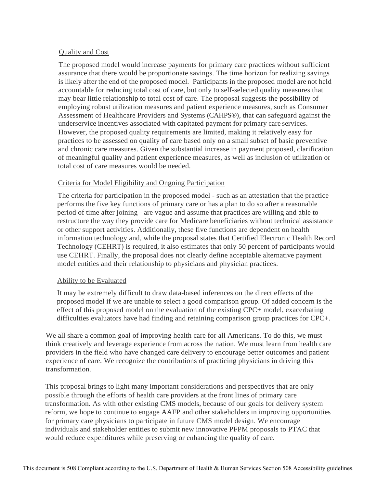## Quality and Cost

The proposed model would increase payments for primary care practices without sufficient assurance that there would be proportionate savings. The time horizon for realizing savings is likely after the end of the proposed model. Participants in the proposed model are not held accountable for reducing total cost of care, but only to self-selected quality measures that may bear little relationship to total cost of care. The proposal suggests the possibility of employing robust utilization measures and patient experience measures, such as Consumer Assessment of Healthcare Providers and Systems (CAHPS®), that can safeguard against the underservice incentives associated with capitated payment for primary care services. However, the proposed quality requirements are limited, making it relatively easy for practices to be assessed on quality of care based only on a small subset of basic preventive and chronic care measures. Given the substantial increase in payment proposed, clarification of meaningful quality and patient experience measures, as well as inclusion of utilization or total cost of care measures would be needed.

## Criteria for Model Eligibility and Ongoing Participation

The criteria for participation in the proposed model - such as an attestation that the practice performs the five key functions of primary care or has a plan to do so after a reasonable period of time after joining - are vague and assume that practices are willing and able to restructure the way they provide care for Medicare beneficiaries without technical assistance or other support activities. Additionally, these five functions are dependent on health information technology and, while the proposal states that Certified Electronic Health Record Technology (CEHRT) is required, it also estimates that only 50 percent of participants would use CEHRT. Finally, the proposal does not clearly define acceptable alternative payment model entities and their relationship to physicians and physician practices.

## Ability to be Evaluated

It may be extremely difficult to draw data-based inferences on the direct effects of the proposed model if we are unable to select a good comparison group. Of added concern is the effect of this proposed model on the evaluation of the existing CPC+ model, exacerbating difficulties evaluators have had finding and retaining comparison group practices for CPC+.

We all share a common goal of improving health care for all Americans. To do this, we must think creatively and leverage experience from across the nation. We must learn from health care providers in the field who have changed care delivery to encourage better outcomes and patient experience of care. We recognize the contributions of practicing physicians in driving this transformation.

This proposal brings to light many important considerations and perspectives that are only possible through the efforts of health care providers at the front lines of primary care transformation. As with other existing CMS models, because of our goals for delivery system reform, we hope to continue to engage AAFP and other stakeholders in improving opportunities for primary care physicians to participate in future CMS model design. We encourage individuals and stakeholder entities to submit new innovative PFPM proposals to PTAC that would reduce expenditures while preserving or enhancing the quality of care.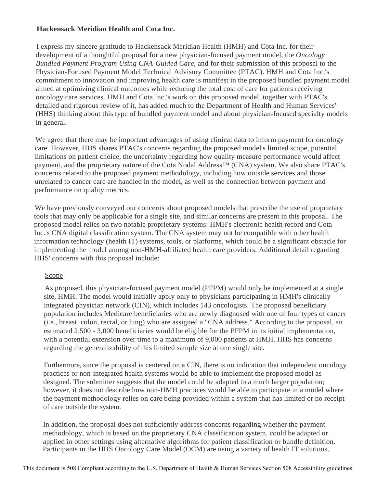# **Hackensack Meridian Health and Cota Inc.**

I express my sincere gratitude to Hackensack Meridian Health (HMH) and Cota Inc. for their development of a thoughtful proposal for a new physician-focused payment model, the *Oncology Bundled Payment Program Using CNA-Guided Care,* and for their submission of this proposal to the Physician-Focused Payment Model Technical Advisory Committee (PTAC). HMH and Cota Inc.'s commitment to innovation and improving health care is manifest in the proposed bundled payment model aimed at optimizing clinical outcomes while reducing the total cost of care for patients receiving oncology care services. HMH and Cota Inc.'s work on this proposed model, together with PTAC's detailed and rigorous review of it, has added much to the Department of Health and Human Services' (HHS) thinking about this type of bundled payment model and about physician-focused specialty models in general.

We agree that there may be important advantages of using clinical data to inform payment for oncology care. However, HHS shares PTAC's concerns regarding the proposed model's limited scope, potential limitations on patient choice, the uncertainty regarding how quality measure performance would affect payment, and the proprietary nature of the Cota Nodal Address™ (CNA) system. We also share PTAC's concerns related to the proposed payment methodology, including how outside services and those unrelated to cancer care are handled in the model, as well as the connection between payment and performance on quality metrics.

We have previously conveyed our concerns about proposed models that prescribe the use of proprietary tools that may only be applicable for a single site, and similar concerns are present in this proposal. The proposed model relies on two notable proprietary systems: HMH's electronic health record and Cota Inc.'s CNA digital classification system. The CNA system may not be compatible with other health information technology (health IT) systems, tools, or platforms, which could be a significant obstacle for implementing the model among non-HMH-affiliated health care providers. Additional detail regarding HHS' concerns with this proposal include:

# Scope

As proposed, this physician-focused payment model (PFPM) would only be implemented at a single site, HMH. The model would initially apply only to physicians participating in HMH's clinically integrated physician network (CIN), which includes 143 oncologists. The proposed beneficiary population includes Medicare beneficiaries who are newly diagnosed with one of four types of cancer (i.e., breast, colon, rectal, or lung) who are assigned a "CNA address." According to the proposal, an estimated 2,500 - 3,000 beneficiaries would be eligible for the PFPM in its initial implementation, with a potential extension over time to a maximum of 9,000 patients at HMH. HHS has concerns regarding the generalizability of this limited sample size at one single site.

Furthermore, since the proposal is centered on a CIN, there is no indication that independent oncology practices or non-integrated health systems would be able to implement the proposed model as designed. The submitter suggests that the model could be adapted to a much larger population; however, it does not describe how non-HMH practices would be able to participate in a model where the payment methodology relies on care being provided within a system that has limited or no receipt of care outside the system.

In addition, the proposal does not sufficiently address concerns regarding whether the payment methodology, which is based on the proprietary CNA classification system, could be adapted or applied in other settings using alternative algorithms for patient classification or bundle definition. Participants in the HHS Oncology Care Model (OCM) are using a variety of health IT solutions,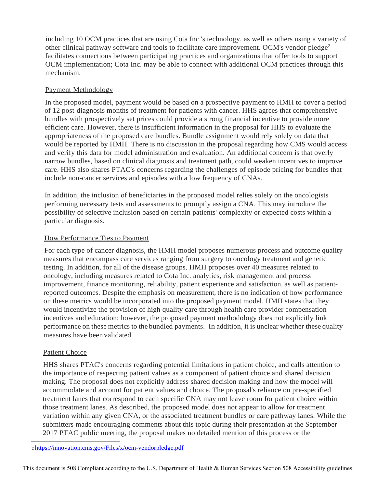including 10 OCM practices that are using Cota Inc.'s technology, as well as others using a variety of other clinical pathway software and tools to facilitate care improvement. OCM's vendor pledge<sup>2</sup> facilitates connections between participating practices and organizations that offer tools to support OCM implementation; Cota Inc. may be able to connect with additional OCM practices through this mechanism.

# Payment Methodology

In the proposed model, payment would be based on a prospective payment to HMH to cover a period of 12 post-diagnosis months of treatment for patients with cancer. HHS agrees that comprehensive bundles with prospectively set prices could provide a strong financial incentive to provide more efficient care. However, there is insufficient information in the proposal for HHS to evaluate the appropriateness of the proposed care bundles. Bundle assignment would rely solely on data that would be reported by HMH. There is no discussion in the proposal regarding how CMS would access and verify this data for model administration and evaluation. An additional concern is that overly narrow bundles, based on clinical diagnosis and treatment path, could weaken incentives to improve care. HHS also shares PTAC's concerns regarding the challenges of episode pricing for bundles that include non-cancer services and episodes with a low frequency of CNAs.

In addition, the inclusion of beneficiaries in the proposed model relies solely on the oncologists performing necessary tests and assessments to promptly assign a CNA. This may introduce the possibility of selective inclusion based on certain patients' complexity or expected costs within a particular diagnosis.

# How Performance Ties to Payment

For each type of cancer diagnosis, the HMH model proposes numerous process and outcome quality measures that encompass care services ranging from surgery to oncology treatment and genetic testing. In addition, for all of the disease groups, HMH proposes over 40 measures related to oncology, including measures related to Cota Inc. analytics, risk management and process improvement, finance monitoring, reliability, patient experience and satisfaction, as well as patientreported outcomes. Despite the emphasis on measurement, there is no indication of how performance on these metrics would be incorporated into the proposed payment model. HMH states that they would incentivize the provision of high quality care through health care provider compensation incentives and education; however, the proposed payment methodology does not explicitly link performance on these metrics to the bundled payments. In addition, it is unclear whether these quality measures have been validated.

# Patient Choice

HHS shares PTAC's concerns regarding potential limitations in patient choice, and calls attention to the importance of respecting patient values as a component of patient choice and shared decision making. The proposal does not explicitly address shared decision making and how the model will accommodate and account for patient values and choice. The proposal's reliance on pre-specified treatment lanes that correspond to each specific CNA may not leave room for patient choice within those treatment lanes. As described, the proposed model does not appear to allow for treatment variation within any given CNA, or the associated treatment bundles or care pathway lanes. While the submitters made encouraging comments about this topic during their presentation at the September 2017 PTAC public meeting, the proposal makes no detailed mention of this process or the

<sup>2</sup><https://innovation.cms.gov/Files/x/ocm-vendorpledge.pdf>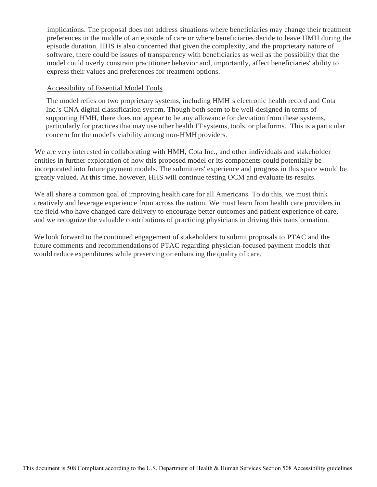implications. The proposal does not address situations where beneficiaries may change their treatment preferences in the middle of an episode of care or where beneficiaries decide to leave HMH during the episode duration. HHS is also concerned that given the complexity, and the proprietary nature of software, there could be issues of transparency with beneficiaries as well as the possibility that the model could overly constrain practitioner behavior and, importantly, affect beneficiaries' ability to express their values and preferences for treatment options.

## Accessibility of Essential Model Tools

The model relies on two proprietary systems, including HMH' s electronic health record and Cota Inc.'s CNA digital classification system. Though both seem to be well-designed in terms of supporting HMH, there does not appear to be any allowance for deviation from these systems, particularly for practices that may use other health IT systems, tools, or platforms. This is a particular concern for the model's viability among non-HMH providers.

We are very interested in collaborating with HMH, Cota Inc., and other individuals and stakeholder entities in further exploration of how this proposed model or its components could potentially be incorporated into future payment models. The submitters' experience and progress in this space would be greatly valued. At this time, however, HHS will continue testing OCM and evaluate its results.

We all share a common goal of improving health care for all Americans. To do this, we must think creatively and leverage experience from across the nation. We must learn from health care providers in the field who have changed care delivery to encourage better outcomes and patient experience of care, and we recognize the valuable contributions of practicing physicians in driving this transformation.

We look forward to the continued engagement of stakeholders to submit proposals to PTAC and the future comments and recommendations of PTAC regarding physician-focused payment models that would reduce expenditures while preserving or enhancing the quality of care.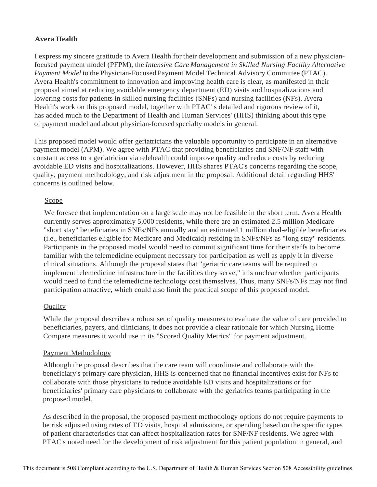# **Avera Health**

I express my sincere gratitude to Avera Health for their development and submission of a new physicianfocused payment model (PFPM), the *Intensive Care Management in Skilled Nursing Facility Alternative Payment Model* to the Physician-Focused Payment Model Technical Advisory Committee (PTAC). Avera Health's commitment to innovation and improving health care is clear, as manifested in their proposal aimed at reducing avoidable emergency department (ED) visits and hospitalizations and lowering costs for patients in skilled nursing facilities (SNFs) and nursing facilities (NFs). Avera Health's work on this proposed model, together with PTAC' s detailed and rigorous review of it, has added much to the Department of Health and Human Services' (HHS) thinking about this type of payment model and about physician-focused specialty models in general.

This proposed model would offer geriatricians the valuable opportunity to participate in an alternative payment model (APM). We agree with PTAC that providing beneficiaries and SNF/NF staff with constant access to a geriatrician via telehealth could improve quality and reduce costs by reducing avoidable ED visits and hospitalizations. However, HHS shares PTAC's concerns regarding the scope, quality, payment methodology, and risk adjustment in the proposal. Additional detail regarding HHS' concerns is outlined below.

# Scope

We foresee that implementation on a large scale may not be feasible in the short term. Avera Health currently serves approximately 5,000 residents, while there are an estimated 2.5 million Medicare "short stay" beneficiaries in SNFs/NFs annually and an estimated 1 million dual-eligible beneficiaries (i.e., beneficiaries eligible for Medicare and Medicaid) residing in SNFs/NFs as "long stay" residents. Participants in the proposed model would need to commit significant time for their staffs to become familiar with the telemedicine equipment necessary for participation as well as apply it in diverse clinical situations. Although the proposal states that "geriatric care teams will be required to implement telemedicine infrastructure in the facilities they serve," it is unclear whether participants would need to fund the telemedicine technology cost themselves. Thus, many SNFs/NFs may not find participation attractive, which could also limit the practical scope of this proposed model.

# **Quality**

While the proposal describes a robust set of quality measures to evaluate the value of care provided to beneficiaries, payers, and clinicians, it does not provide a clear rationale for which Nursing Home Compare measures it would use in its "Scored Quality Metrics" for payment adjustment.

## Payment Methodology

Although the proposal describes that the care team will coordinate and collaborate with the beneficiary's primary care physician, HHS is concerned that no financial incentives exist for NFs to collaborate with those physicians to reduce avoidable ED visits and hospitalizations or for beneficiaries' primary care physicians to collaborate with the geriatrics teams participating in the proposed model.

As described in the proposal, the proposed payment methodology options do not require payments to be risk adjusted using rates of ED visits, hospital admissions, or spending based on the specific types of patient characteristics that can affect hospitalization rates for SNF/NF residents. We agree with PTAC's noted need for the development of risk adjustment for this patient population in general, and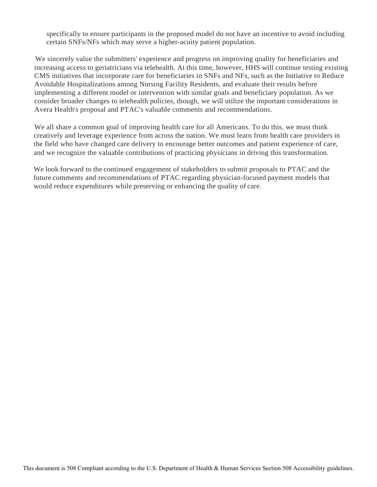specifically to ensure participants in the proposed model do not have an incentive to avoid including certain SNFs/NFs which may serve a higher-acuity patient population.

We sincerely value the submitters' experience and progress on improving quality for beneficiaries and increasing access to geriatricians via telehealth. At this time, however, HHS will continue testing existing CMS initiatives that incorporate care for beneficiaries in SNFs and NFs, such as the Initiative to Reduce Avoidable Hospitalizations among Nursing Facility Residents, and evaluate their results before implementing a different model or intervention with similar goals and beneficiary population. As we consider broader changes to telehealth policies, though, we will utilize the important considerations in Avera Health's proposal and PTAC's valuable comments and recommendations.

We all share a common goal of improving health care for all Americans. To do this, we must think creatively and leverage experience from across the nation. We must learn from health care providers in the field who have changed care delivery to encourage better outcomes and patient experience of care, and we recognize the valuable contributions of practicing physicians in driving this transformation.

We look forward to the continued engagement of stakeholders to submit proposals to PTAC and the future comments and recommendations of PTAC regarding physician-focused payment models that would reduce expenditures while preserving or enhancing the quality of care.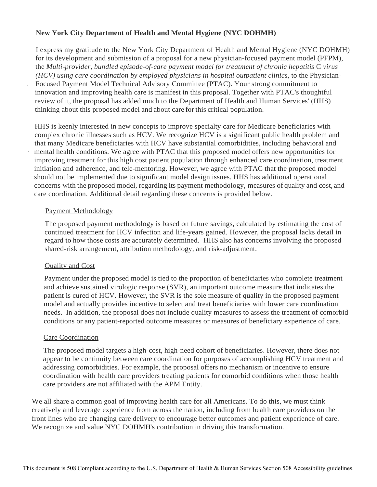# **New York City Department of Health and Mental Hygiene (NYC DOHMH)**

I express my gratitude to the New York City Department of Health and Mental Hygiene (NYC DOHMH) for its development and submission of a proposal for a new physician-focused payment model (PFPM), the *Multi-provider, bundled episode-of-care payment model for treatment of chronic hepatitis* C *virus (HCV)* using care coordination by employed physicians in hospital outpatient clinics, to the Physician-. Focused Payment Model Technical Advisory Committee (PTAC). Your strong commitment to innovation and improving health care is manifest in this proposal. Together with PTAC's thoughtful review of it, the proposal has added much to the Department of Health and Human Services' (HHS) thinking about this proposed model and about care for this critical population.

HHS is keenly interested in new concepts to improve specialty care for Medicare beneficiaries with complex chronic illnesses such as HCV. We recognize HCV is a significant public health problem and that many Medicare beneficiaries with HCV have substantial comorbidities, including behavioral and mental health conditions. We agree with PTAC that this proposed model offers new opportunities for improving treatment for this high cost patient population through enhanced care coordination, treatment initiation and adherence, and tele-mentoring. However, we agree with PTAC that the proposed model should not be implemented due to significant model design issues. HHS has additional operational concerns with the proposed model, regarding its payment methodology, measures of quality and cost, and care coordination. Additional detail regarding these concerns is provided below.

## Payment Methodology

The proposed payment methodology is based on future savings, calculated by estimating the cost of continued treatment for HCV infection and life-years gained. However, the proposal lacks detail in regard to how those costs are accurately determined. HHS also has concerns involving the proposed shared-risk arrangement, attribution methodology, and risk-adjustment.

# Quality and Cost

Payment under the proposed model is tied to the proportion of beneficiaries who complete treatment and achieve sustained virologic response (SVR), an important outcome measure that indicates the patient is cured of HCV. However, the SVR is the sole measure of quality in the proposed payment model and actually provides incentive to select and treat beneficiaries with lower care coordination needs. In addition, the proposal does not include quality measures to assess the treatment of comorbid conditions or any patient-reported outcome measures or measures of beneficiary experience of care.

# Care Coordination

The proposed model targets a high-cost, high-need cohort of beneficiaries. However, there does not appear to be continuity between care coordination for purposes of accomplishing HCV treatment and addressing comorbidities. For example, the proposal offers no mechanism or incentive to ensure coordination with health care providers treating patients for comorbid conditions when those health care providers are not affiliated with the APM Entity.

We all share a common goal of improving health care for all Americans. To do this, we must think creatively and leverage experience from across the nation, including from health care providers on the front lines who are changing care delivery to encourage better outcomes and patient experience of care. We recognize and value NYC DOHMH's contribution in driving this transformation.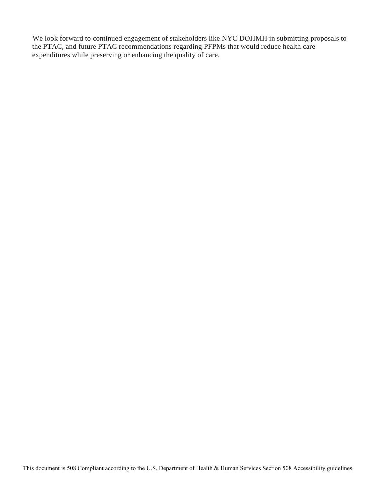We look forward to continued engagement of stakeholders like NYC DOHMH in submitting proposals to the PTAC, and future PTAC recommendations regarding PFPMs that would reduce health care expenditures while preserving or enhancing the quality of care.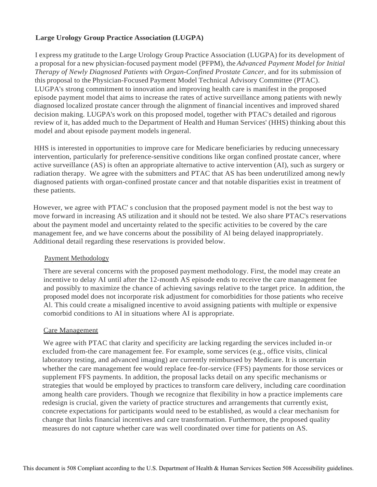# **Large Urology Group Practice Association (LUGPA)**

I express my gratitude to the Large Urology Group Practice Association (LUGPA) for its development of a proposal for a new physician-focused payment model (PFPM), the *Advanced Payment Model for Initial Therapy of Newly Diagnosed Patients with Organ-Confined Prostate Cancer,* and for its submission of this proposal to the Physician-Focused Payment Model Technical Advisory Committee (PTAC). LUGPA's strong commitment to innovation and improving health care is manifest in the proposed episode payment model that aims to increase the rates of active surveillance among patients with newly diagnosed localized prostate cancer through the alignment of financial incentives and improved shared decision making. LUGPA's work on this proposed model, together with PTAC's detailed and rigorous review of it, has added much to the Department of Health and Human Services' (HHS) thinking about this model and about episode payment models ingeneral.

HHS is interested in opportunities to improve care for Medicare beneficiaries by reducing unnecessary intervention, particularly for preference-sensitive conditions like organ confined prostate cancer, where active surveillance (AS) is often an appropriate alternative to active intervention (AI), such as surgery or radiation therapy. We agree with the submitters and PTAC that AS has been underutilized among newly diagnosed patients with organ-confined prostate cancer and that notable disparities exist in treatment of these patients.

However, we agree with PTAC' s conclusion that the proposed payment model is not the best way to move forward in increasing AS utilization and it should not be tested. We also share PTAC's reservations about the payment model and uncertainty related to the specific activities to be covered by the care management fee, and we have concerns about the possibility of Al being delayed inappropriately. Additional detail regarding these reservations is provided below.

# Payment Methodology

There are several concerns with the proposed payment methodology. First, the model may create an incentive to delay AI until after the 12-month AS episode ends to receive the care management fee and possibly to maximize the chance of achieving savings relative to the target price. In addition, the proposed model does not incorporate risk adjustment for comorbidities for those patients who receive Al. This could create a misaligned incentive to avoid assigning patients with multiple or expensive comorbid conditions to AI in situations where AI is appropriate.

# Care Management

We agree with PTAC that clarity and specificity are lacking regarding the services included in-or excluded from-the care management fee. For example, some services (e.g., office visits, clinical laboratory testing, and advanced imaging) are currently reimbursed by Medicare. It is uncertain whether the care management fee would replace fee-for-service (FFS) payments for those services or supplement FFS payments. In addition, the proposal lacks detail on any specific mechanisms or strategies that would be employed by practices to transform care delivery, including care coordination among health care providers. Though we recognize that flexibility in how a practice implements care redesign is crucial, given the variety of practice structures and arrangements that currently exist, concrete expectations for participants would need to be established, as would a clear mechanism for change that links financial incentives and care transformation. Furthermore, the proposed quality measures do not capture whether care was well coordinated over time for patients on AS.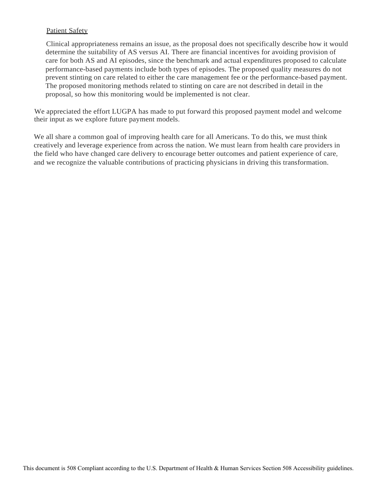# Patient Safety

Clinical appropriateness remains an issue, as the proposal does not specifically describe how it would determine the suitability of AS versus AI. There are financial incentives for avoiding provision of care for both AS and AI episodes, since the benchmark and actual expenditures proposed to calculate performance-based payments include both types of episodes. The proposed quality measures do not prevent stinting on care related to either the care management fee or the performance-based payment. The proposed monitoring methods related to stinting on care are not described in detail in the proposal, so how this monitoring would be implemented is not clear.

We appreciated the effort LUGPA has made to put forward this proposed payment model and welcome their input as we explore future payment models.

We all share a common goal of improving health care for all Americans. To do this, we must think creatively and leverage experience from across the nation. We must learn from health care providers in the field who have changed care delivery to encourage better outcomes and patient experience of care, and we recognize the valuable contributions of practicing physicians in driving this transformation.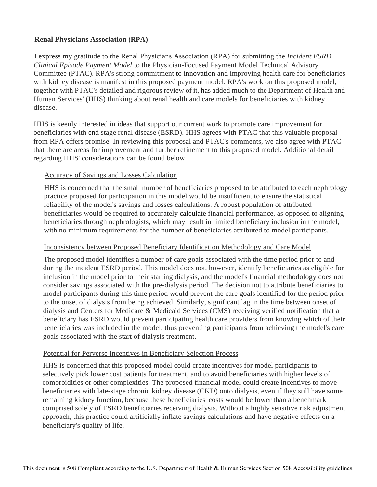# **Renal Physicians Association (RPA)**

I express my gratitude to the Renal Physicians Association (RPA) for submitting the *Incident ESRD Clinical Episode Payment Model* to the Physician-Focused Payment Model Technical Advisory Committee (PTAC). RPA's strong commitment to innovation and improving health care for beneficiaries with kidney disease is manifest in this proposed payment model. RPA's work on this proposed model, together with PTAC's detailed and rigorous review of it, has added much to the Department of Health and Human Services' (HHS) thinking about renal health and care models for beneficiaries with kidney disease.

HHS is keenly interested in ideas that support our current work to promote care improvement for beneficiaries with end stage renal disease (ESRD). HHS agrees with PTAC that this valuable proposal from RPA offers promise. In reviewing this proposal and PTAC's comments, we also agree with PTAC that there are areas for improvement and further refinement to this proposed model. Additional detail regarding HHS' considerations can be found below.

## Accuracy of Savings and Losses Calculation

HHS is concerned that the small number of beneficiaries proposed to be attributed to each nephrology practice proposed for participation in this model would be insufficient to ensure the statistical reliability of the model's savings and losses calculations. A robust population of attributed beneficiaries would be required to accurately calculate financial performance, as opposed to aligning beneficiaries through nephrologists, which may result in limited beneficiary inclusion in the model, with no minimum requirements for the number of beneficiaries attributed to model participants.

## Inconsistency between Proposed Beneficiary Identification Methodology and Care Model

The proposed model identifies a number of care goals associated with the time period prior to and during the incident ESRD period. This model does not, however, identify beneficiaries as eligible for inclusion in the model prior to their starting dialysis, and the model's financial methodology does not consider savings associated with the pre-dialysis period. The decision not to attribute beneficiaries to model participants during this time period would prevent the care goals identified for the period prior to the onset of dialysis from being achieved. Similarly, significant lag in the time between onset of dialysis and Centers for Medicare & Medicaid Services (CMS) receiving verified notification that a beneficiary has ESRD would prevent participating health care providers from knowing which of their beneficiaries was included in the model, thus preventing participants from achieving the model's care goals associated with the start of dialysis treatment.

## Potential for Perverse Incentives in Beneficiary Selection Process

HHS is concerned that this proposed model could create incentives for model participants to selectively pick lower cost patients for treatment, and to avoid beneficiaries with higher levels of comorbidities or other complexities. The proposed financial model could create incentives to move beneficiaries with late-stage chronic kidney disease (CKD) onto dialysis, even if they still have some remaining kidney function, because these beneficiaries' costs would be lower than a benchmark comprised solely of ESRD beneficiaries receiving dialysis. Without a highly sensitive risk adjustment approach, this practice could artificially inflate savings calculations and have negative effects on a beneficiary's quality of life.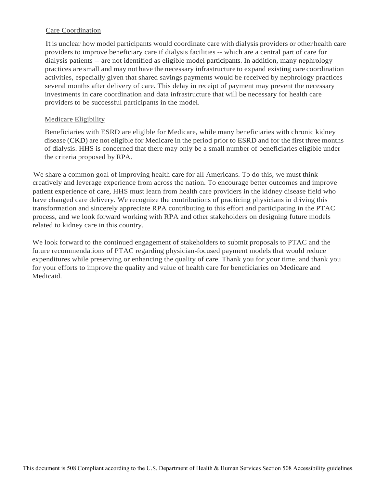## Care Coordination

It is unclear how model participants would coordinate care with dialysis providers or other health care providers to improve beneficiary care if dialysis facilities -- which are a central part of care for dialysis patients -- are not identified as eligible model participants. In addition, many nephrology practices are small and may not have the necessary infrastructure to expand existing care coordination activities, especially given that shared savings payments would be received by nephrology practices several months after delivery of care. This delay in receipt of payment may prevent the necessary investments in care coordination and data infrastructure that will be necessary for health care providers to be successful participants in the model.

## Medicare Eligibility

Beneficiaries with ESRD are eligible for Medicare, while many beneficiaries with chronic kidney disease (CKD) are not eligible for Medicare in the period prior to ESRD and for the first three months of dialysis. HHS is concerned that there may only be a small number of beneficiaries eligible under the criteria proposed by RPA.

We share a common goal of improving health care for all Americans. To do this, we must think creatively and leverage experience from across the nation. To encourage better outcomes and improve patient experience of care, HHS must learn from health care providers in the kidney disease field who have changed care delivery. We recognize the contributions of practicing physicians in driving this transformation and sincerely appreciate RPA contributing to this effort and participating in the PTAC process, and we look forward working with RPA and other stakeholders on designing future models related to kidney care in this country.

We look forward to the continued engagement of stakeholders to submit proposals to PTAC and the future recommendations of PTAC regarding physician-focused payment models that would reduce expenditures while preserving or enhancing the quality of care. Thank you for your time, and thank you for your efforts to improve the quality and value of health care for beneficiaries on Medicare and Medicaid.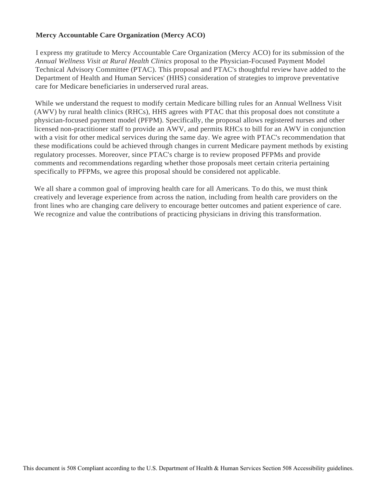# **Mercy Accountable Care Organization (Mercy ACO)**

I express my gratitude to Mercy Accountable Care Organization (Mercy ACO) for its submission of the *Annual Wellness Visit at Rural Health Clinics* proposal to the Physician-Focused Payment Model Technical Advisory Committee (PTAC). This proposal and PTAC's thoughtful review have added to the Department of Health and Human Services' (HHS) consideration of strategies to improve preventative care for Medicare beneficiaries in underserved rural areas.

While we understand the request to modify certain Medicare billing rules for an Annual Wellness Visit (AWV) by rural health clinics (RHCs), HHS agrees with PTAC that this proposal does not constitute a physician-focused payment model (PFPM). Specifically, the proposal allows registered nurses and other licensed non-practitioner staff to provide an AWV, and permits RHCs to bill for an AWV in conjunction with a visit for other medical services during the same day. We agree with PTAC's recommendation that these modifications could be achieved through changes in current Medicare payment methods by existing regulatory processes. Moreover, since PTAC's charge is to review proposed PFPMs and provide comments and recommendations regarding whether those proposals meet certain criteria pertaining specifically to PFPMs, we agree this proposal should be considered not applicable.

We all share a common goal of improving health care for all Americans. To do this, we must think creatively and leverage experience from across the nation, including from health care providers on the front lines who are changing care delivery to encourage better outcomes and patient experience of care. We recognize and value the contributions of practicing physicians in driving this transformation.